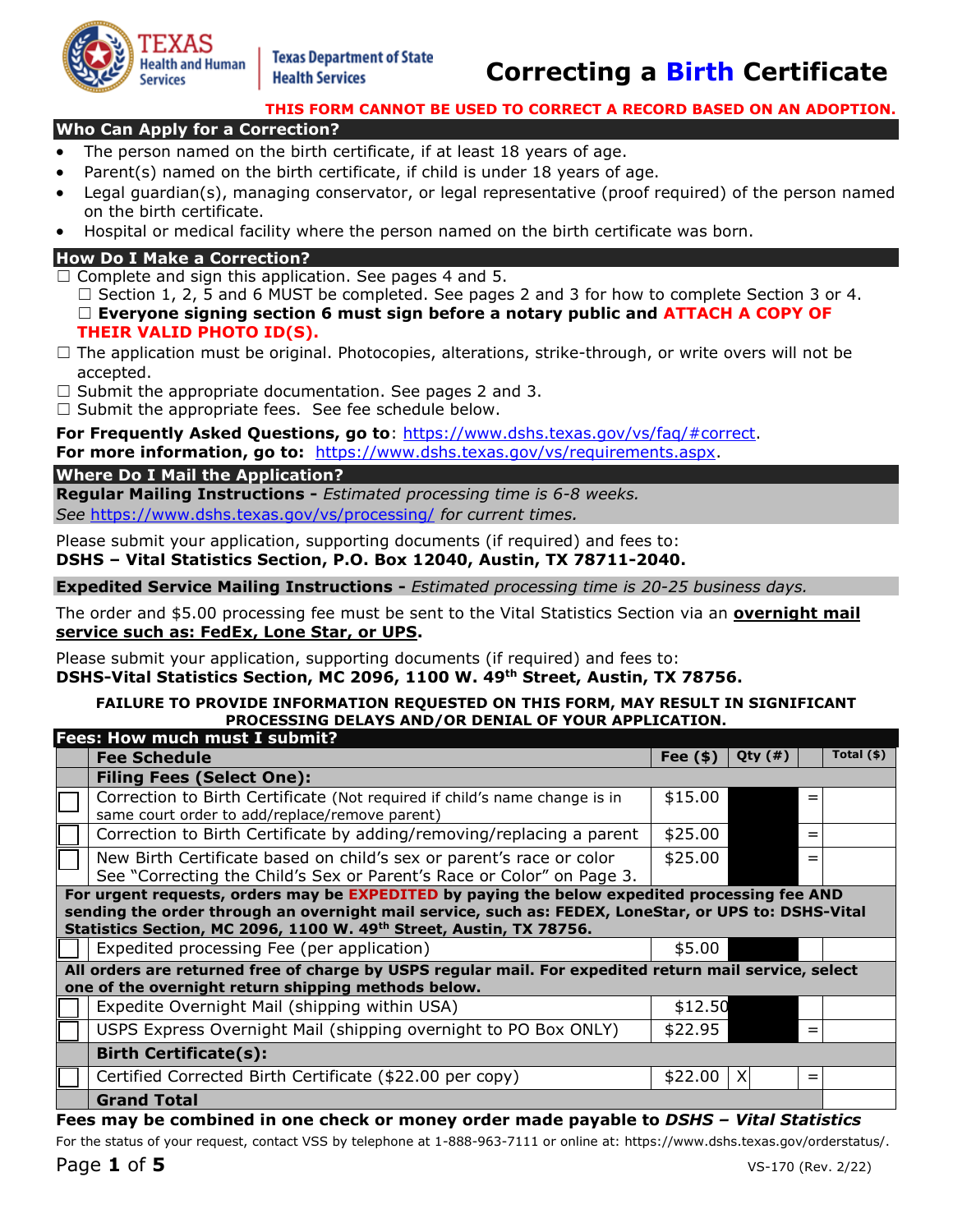

# Health Services **Correcting a Birth Certificate**

#### **THIS FORM CANNOT BE USED TO CORRECT A RECORD BASED ON AN ADOPTION.**

## **Who Can Apply for a Correction?**

- The person named on the birth certificate, if at least 18 years of age.
- Parent(s) named on the birth certificate, if child is under 18 years of age.
- Legal guardian(s), managing conservator, or legal representative (proof required) of the person named on the birth certificate.
- Hospital or medical facility where the person named on the birth certificate was born.

## **How Do I Make a Correction?**

 $\Box$  Complete and sign this application. See pages 4 and 5.

 $\Box$  Section 1, 2, 5 and 6 MUST be completed. See pages 2 and 3 for how to complete Section 3 or 4. ☐ **Everyone signing section 6 must sign before a notary public and ATTACH A COPY OF THEIR VALID PHOTO ID(S).**

- $\Box$  The application must be original. Photocopies, alterations, strike-through, or write overs will not be accepted.
- $\Box$  Submit the appropriate documentation. See pages 2 and 3.
- $\Box$  Submit the appropriate fees. See fee schedule below.

**For Frequently Asked Questions, go to**: [https://www.dshs.texas.gov/vs/faq/#correct.](https://www.dshs.texas.gov/vs/faq/#correct)

For more information, go to: [https://www.dshs.texas.gov/vs/requirements.aspx.](https://www.dshs.texas.gov/vs/requirements.aspx)

#### **Where Do I Mail the Application?**

**Regular Mailing Instructions -** *Estimated processing time is 6-8 weeks. See* <https://www.dshs.texas.gov/vs/processing/>*for current times.* 

Please submit your application, supporting documents (if required) and fees to: **DSHS – Vital Statistics Section, P.O. Box 12040, Austin, TX 78711-2040.** 

**Expedited Service Mailing Instructions -** *Estimated processing time is 20-25 business days.* 

The order and \$5.00 processing fee must be sent to the Vital Statistics Section via an **overnight mail service such as: FedEx, Lone Star, or UPS.** 

Please submit your application, supporting documents (if required) and fees to: **DSHS-Vital Statistics Section, MC 2096, 1100 W. 49th Street, Austin, TX 78756.** 

#### **FAILURE TO PROVIDE INFORMATION REQUESTED ON THIS FORM, MAY RESULT IN SIGNIFICANT PROCESSING DELAYS AND/OR DENIAL OF YOUR APPLICATION.**

|                                                                                                                                                               | <b>Fees: How much must I submit?</b>                                                                                                                                                                                                                                         |           |               |     |             |  |  |  |
|---------------------------------------------------------------------------------------------------------------------------------------------------------------|------------------------------------------------------------------------------------------------------------------------------------------------------------------------------------------------------------------------------------------------------------------------------|-----------|---------------|-----|-------------|--|--|--|
|                                                                                                                                                               | <b>Fee Schedule</b>                                                                                                                                                                                                                                                          | Fee $(*)$ | Qty $($ # $)$ |     | Total $(*)$ |  |  |  |
|                                                                                                                                                               | <b>Filing Fees (Select One):</b>                                                                                                                                                                                                                                             |           |               |     |             |  |  |  |
|                                                                                                                                                               | Correction to Birth Certificate (Not required if child's name change is in<br>same court order to add/replace/remove parent)                                                                                                                                                 | \$15.00   |               | =   |             |  |  |  |
|                                                                                                                                                               | Correction to Birth Certificate by adding/removing/replacing a parent                                                                                                                                                                                                        | \$25.00   |               | $=$ |             |  |  |  |
|                                                                                                                                                               | New Birth Certificate based on child's sex or parent's race or color<br>See "Correcting the Child's Sex or Parent's Race or Color" on Page 3.                                                                                                                                | \$25.00   |               |     |             |  |  |  |
|                                                                                                                                                               | For urgent requests, orders may be EXPEDITED by paying the below expedited processing fee AND<br>sending the order through an overnight mail service, such as: FEDEX, LoneStar, or UPS to: DSHS-Vital<br>Statistics Section, MC 2096, 1100 W. 49th Street, Austin, TX 78756. |           |               |     |             |  |  |  |
|                                                                                                                                                               | Expedited processing Fee (per application)                                                                                                                                                                                                                                   | \$5.00    |               |     |             |  |  |  |
| All orders are returned free of charge by USPS regular mail. For expedited return mail service, select<br>one of the overnight return shipping methods below. |                                                                                                                                                                                                                                                                              |           |               |     |             |  |  |  |
|                                                                                                                                                               | Expedite Overnight Mail (shipping within USA)                                                                                                                                                                                                                                | \$12.50   |               |     |             |  |  |  |
|                                                                                                                                                               | USPS Express Overnight Mail (shipping overnight to PO Box ONLY)                                                                                                                                                                                                              | \$22.95   |               | $=$ |             |  |  |  |
|                                                                                                                                                               | <b>Birth Certificate(s):</b>                                                                                                                                                                                                                                                 |           |               |     |             |  |  |  |
|                                                                                                                                                               | Certified Corrected Birth Certificate (\$22.00 per copy)                                                                                                                                                                                                                     | \$22.00   | X             | $=$ |             |  |  |  |
|                                                                                                                                                               | <b>Grand Total</b>                                                                                                                                                                                                                                                           |           |               |     |             |  |  |  |

#### **Fees may be combined in one check or money order made payable to** *DSHS – Vital Statistics*

For the status of your request, contact VSS by telephone at 1-888-963-7111 or online at: [https://www.dshs.texas.gov/orderstatus/.](https://www.dshs.texas.gov/orderstatus/)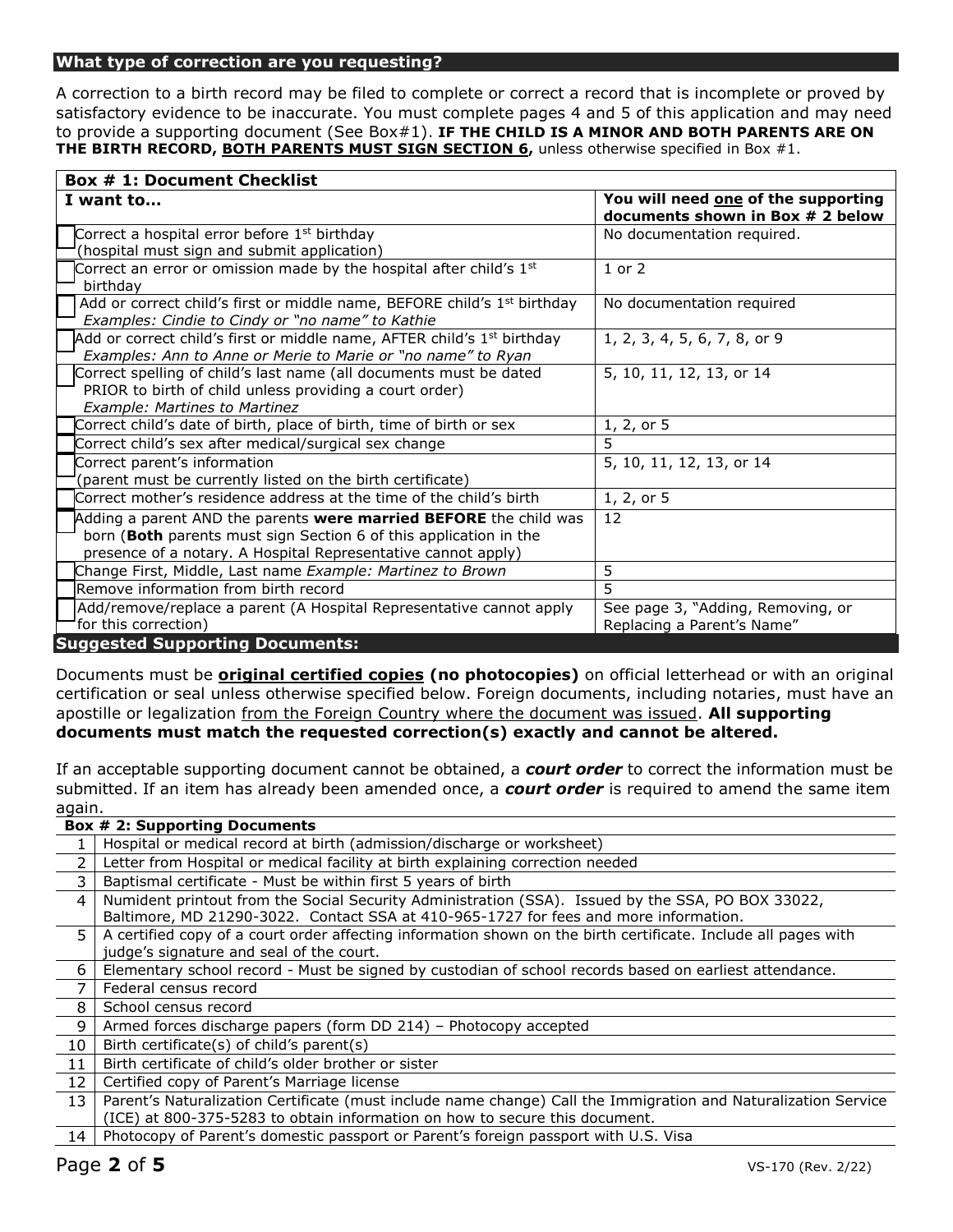#### **What type of correction are you requesting?**

A correction to a birth record may be filed to complete or correct a record that is incomplete or proved by satisfactory evidence to be inaccurate. You must complete pages 4 and 5 of this application and may need to provide a supporting document (See Box#1). **IF THE CHILD IS A MINOR AND BOTH PARENTS ARE ON THE BIRTH RECORD, BOTH PARENTS MUST SIGN SECTION 6,** unless otherwise specified in Box #1.

| <b>Box # 1: Document Checklist</b>                                                                                                                                                                      |                                                                         |  |  |  |  |  |
|---------------------------------------------------------------------------------------------------------------------------------------------------------------------------------------------------------|-------------------------------------------------------------------------|--|--|--|--|--|
| I want to                                                                                                                                                                                               | You will need one of the supporting<br>documents shown in Box # 2 below |  |  |  |  |  |
| Correct a hospital error before 1 <sup>st</sup> birthday                                                                                                                                                | No documentation required.                                              |  |  |  |  |  |
| (hospital must sign and submit application)                                                                                                                                                             |                                                                         |  |  |  |  |  |
| Correct an error or omission made by the hospital after child's 1 <sup>st</sup><br>birthdav                                                                                                             | $1$ or $2$                                                              |  |  |  |  |  |
| Add or correct child's first or middle name, BEFORE child's 1 <sup>st</sup> birthday<br>Examples: Cindie to Cindy or "no name" to Kathie                                                                | No documentation required                                               |  |  |  |  |  |
| Add or correct child's first or middle name, AFTER child's 1 <sup>st</sup> birthday<br>Examples: Ann to Anne or Merie to Marie or "no name" to Ryan                                                     | 1, 2, 3, 4, 5, 6, 7, 8, or 9                                            |  |  |  |  |  |
| Correct spelling of child's last name (all documents must be dated<br>PRIOR to birth of child unless providing a court order)<br><b>Example: Martines to Martinez</b>                                   | 5, 10, 11, 12, 13, or 14                                                |  |  |  |  |  |
| Correct child's date of birth, place of birth, time of birth or sex                                                                                                                                     | 1, 2, or 5                                                              |  |  |  |  |  |
| Correct child's sex after medical/surgical sex change                                                                                                                                                   | 5                                                                       |  |  |  |  |  |
| Correct parent's information<br>(parent must be currently listed on the birth certificate)                                                                                                              | 5, 10, 11, 12, 13, or 14                                                |  |  |  |  |  |
| Correct mother's residence address at the time of the child's birth                                                                                                                                     | 1, 2, or 5                                                              |  |  |  |  |  |
| Adding a parent AND the parents were married BEFORE the child was<br>born (Both parents must sign Section 6 of this application in the<br>presence of a notary. A Hospital Representative cannot apply) | 12                                                                      |  |  |  |  |  |
| Change First, Middle, Last name Example: Martinez to Brown                                                                                                                                              | 5                                                                       |  |  |  |  |  |
| Remove information from birth record                                                                                                                                                                    | 5                                                                       |  |  |  |  |  |
| Add/remove/replace a parent (A Hospital Representative cannot apply<br>for this correction)                                                                                                             | See page 3, "Adding, Removing, or<br>Replacing a Parent's Name"         |  |  |  |  |  |
| <b>Suggested Supporting Documents:</b>                                                                                                                                                                  |                                                                         |  |  |  |  |  |

Documents must be **original certified copies (no photocopies)** on official letterhead or with an original certification or seal unless otherwise specified below. Foreign documents, including notaries, must have an apostille or legalization from the Foreign Country where the document was issued. **All supporting documents must match the requested correction(s) exactly and cannot be altered.** 

If an acceptable supporting document cannot be obtained, a *court order* to correct the information must be submitted. If an item has already been amended once, a *court order* is required to amend the same item again.

| Hospital or medical record at birth (admission/discharge or worksheet)<br>Letter from Hospital or medical facility at birth explaining correction needed<br>2<br>3<br>Baptismal certificate - Must be within first 5 years of birth<br>Numident printout from the Social Security Administration (SSA). Issued by the SSA, PO BOX 33022,<br>4<br>Baltimore, MD 21290-3022. Contact SSA at 410-965-1727 for fees and more information.<br>A certified copy of a court order affecting information shown on the birth certificate. Include all pages with<br>5.<br>judge's signature and seal of the court.<br>Elementary school record - Must be signed by custodian of school records based on earliest attendance.<br>6<br>7<br>Federal census record<br>8<br>School census record<br>9<br>Armed forces discharge papers (form DD 214) - Photocopy accepted<br>10 <sup>°</sup><br>Birth certificate(s) of child's parent(s)<br>11<br>Birth certificate of child's older brother or sister<br>12<br>Certified copy of Parent's Marriage license<br>Parent's Naturalization Certificate (must include name change) Call the Immigration and Naturalization Service<br>13<br>(ICE) at 800-375-5283 to obtain information on how to secure this document.<br>Photocopy of Parent's domestic passport or Parent's foreign passport with U.S. Visa<br>14 | <b>Box # 2: Supporting Documents</b> |
|-----------------------------------------------------------------------------------------------------------------------------------------------------------------------------------------------------------------------------------------------------------------------------------------------------------------------------------------------------------------------------------------------------------------------------------------------------------------------------------------------------------------------------------------------------------------------------------------------------------------------------------------------------------------------------------------------------------------------------------------------------------------------------------------------------------------------------------------------------------------------------------------------------------------------------------------------------------------------------------------------------------------------------------------------------------------------------------------------------------------------------------------------------------------------------------------------------------------------------------------------------------------------------------------------------------------------------------------------------|--------------------------------------|
|                                                                                                                                                                                                                                                                                                                                                                                                                                                                                                                                                                                                                                                                                                                                                                                                                                                                                                                                                                                                                                                                                                                                                                                                                                                                                                                                                     |                                      |
|                                                                                                                                                                                                                                                                                                                                                                                                                                                                                                                                                                                                                                                                                                                                                                                                                                                                                                                                                                                                                                                                                                                                                                                                                                                                                                                                                     |                                      |
|                                                                                                                                                                                                                                                                                                                                                                                                                                                                                                                                                                                                                                                                                                                                                                                                                                                                                                                                                                                                                                                                                                                                                                                                                                                                                                                                                     |                                      |
|                                                                                                                                                                                                                                                                                                                                                                                                                                                                                                                                                                                                                                                                                                                                                                                                                                                                                                                                                                                                                                                                                                                                                                                                                                                                                                                                                     |                                      |
|                                                                                                                                                                                                                                                                                                                                                                                                                                                                                                                                                                                                                                                                                                                                                                                                                                                                                                                                                                                                                                                                                                                                                                                                                                                                                                                                                     |                                      |
|                                                                                                                                                                                                                                                                                                                                                                                                                                                                                                                                                                                                                                                                                                                                                                                                                                                                                                                                                                                                                                                                                                                                                                                                                                                                                                                                                     |                                      |
|                                                                                                                                                                                                                                                                                                                                                                                                                                                                                                                                                                                                                                                                                                                                                                                                                                                                                                                                                                                                                                                                                                                                                                                                                                                                                                                                                     |                                      |
|                                                                                                                                                                                                                                                                                                                                                                                                                                                                                                                                                                                                                                                                                                                                                                                                                                                                                                                                                                                                                                                                                                                                                                                                                                                                                                                                                     |                                      |
|                                                                                                                                                                                                                                                                                                                                                                                                                                                                                                                                                                                                                                                                                                                                                                                                                                                                                                                                                                                                                                                                                                                                                                                                                                                                                                                                                     |                                      |
|                                                                                                                                                                                                                                                                                                                                                                                                                                                                                                                                                                                                                                                                                                                                                                                                                                                                                                                                                                                                                                                                                                                                                                                                                                                                                                                                                     |                                      |
|                                                                                                                                                                                                                                                                                                                                                                                                                                                                                                                                                                                                                                                                                                                                                                                                                                                                                                                                                                                                                                                                                                                                                                                                                                                                                                                                                     |                                      |
|                                                                                                                                                                                                                                                                                                                                                                                                                                                                                                                                                                                                                                                                                                                                                                                                                                                                                                                                                                                                                                                                                                                                                                                                                                                                                                                                                     |                                      |
|                                                                                                                                                                                                                                                                                                                                                                                                                                                                                                                                                                                                                                                                                                                                                                                                                                                                                                                                                                                                                                                                                                                                                                                                                                                                                                                                                     |                                      |
|                                                                                                                                                                                                                                                                                                                                                                                                                                                                                                                                                                                                                                                                                                                                                                                                                                                                                                                                                                                                                                                                                                                                                                                                                                                                                                                                                     |                                      |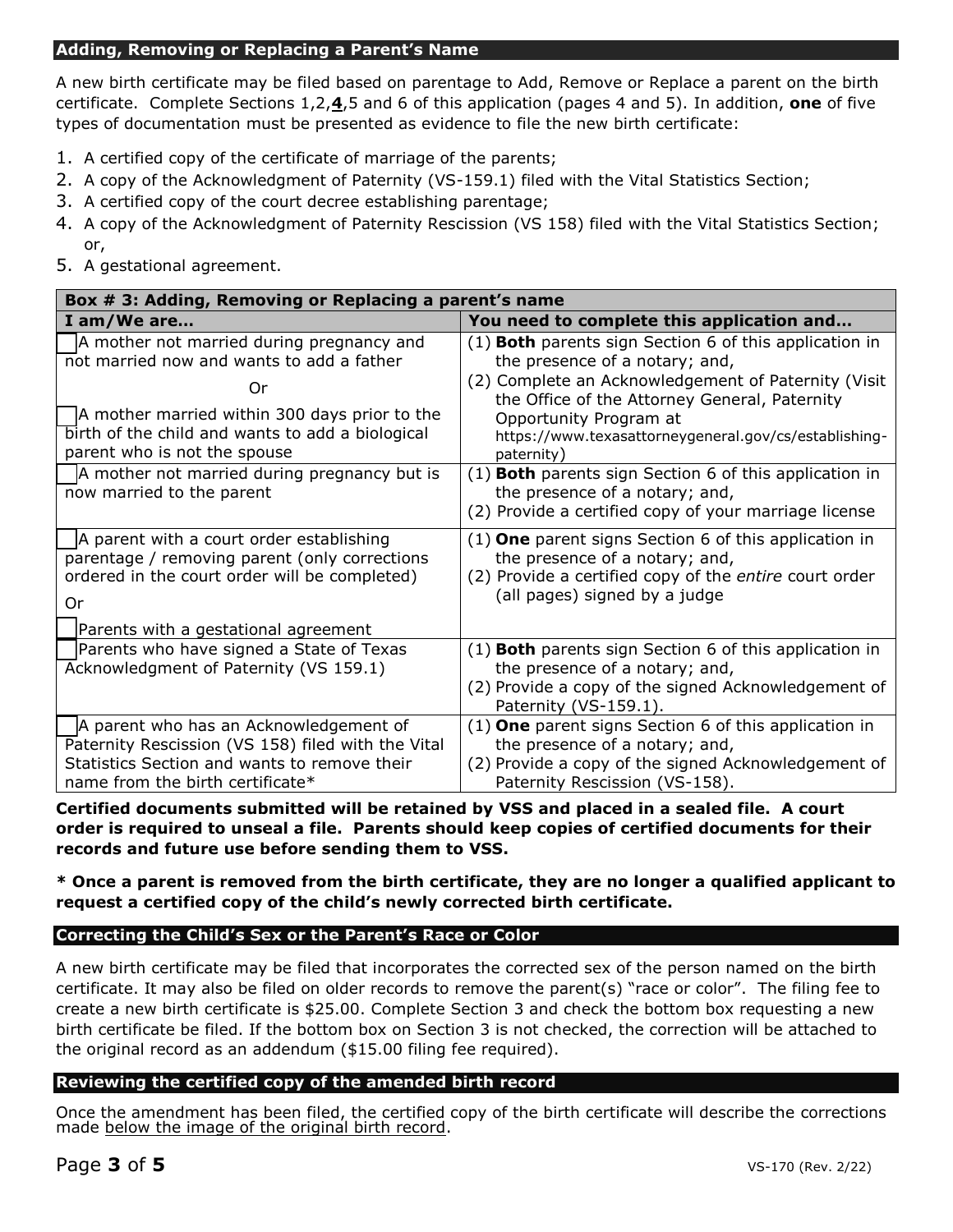### **Adding, Removing or Replacing a Parent's Name**

A new birth certificate may be filed based on parentage to Add, Remove or Replace a parent on the birth certificate. Complete Sections 1,2,**4**,5 and 6 of this application (pages 4 and 5). In addition, **one** of five types of documentation must be presented as evidence to file the new birth certificate:

- 1. A certified copy of the certificate of marriage of the parents;
- 2. A copy of the Acknowledgment of Paternity (VS-159.1) filed with the Vital Statistics Section;
- 3. A certified copy of the court decree establishing parentage;
- 4. A copy of the Acknowledgment of Paternity Rescission (VS 158) filed with the Vital Statistics Section; or,
- 5. A gestational agreement.

| Box # 3: Adding, Removing or Replacing a parent's name                                                                                                                           |                                                                                                                                                                                                           |  |  |  |  |  |
|----------------------------------------------------------------------------------------------------------------------------------------------------------------------------------|-----------------------------------------------------------------------------------------------------------------------------------------------------------------------------------------------------------|--|--|--|--|--|
| I am/We are                                                                                                                                                                      | You need to complete this application and                                                                                                                                                                 |  |  |  |  |  |
| A mother not married during pregnancy and<br>not married now and wants to add a father<br>Or                                                                                     | $(1)$ <b>Both</b> parents sign Section 6 of this application in<br>the presence of a notary; and,<br>(2) Complete an Acknowledgement of Paternity (Visit<br>the Office of the Attorney General, Paternity |  |  |  |  |  |
| A mother married within 300 days prior to the<br>birth of the child and wants to add a biological<br>parent who is not the spouse                                                | Opportunity Program at<br>https://www.texasattorneygeneral.gov/cs/establishing-<br>paternity)                                                                                                             |  |  |  |  |  |
| A mother not married during pregnancy but is<br>now married to the parent                                                                                                        | $(1)$ <b>Both</b> parents sign Section 6 of this application in<br>the presence of a notary; and,<br>(2) Provide a certified copy of your marriage license                                                |  |  |  |  |  |
| A parent with a court order establishing<br>parentage / removing parent (only corrections<br>ordered in the court order will be completed)<br>Or                                 | $(1)$ <b>One</b> parent signs Section 6 of this application in<br>the presence of a notary; and,<br>(2) Provide a certified copy of the entire court order<br>(all pages) signed by a judge               |  |  |  |  |  |
| Parents with a gestational agreement<br>Parents who have signed a State of Texas<br>Acknowledgment of Paternity (VS 159.1)                                                       | (1) Both parents sign Section 6 of this application in<br>the presence of a notary; and,<br>(2) Provide a copy of the signed Acknowledgement of<br>Paternity (VS-159.1).                                  |  |  |  |  |  |
| A parent who has an Acknowledgement of<br>Paternity Rescission (VS 158) filed with the Vital<br>Statistics Section and wants to remove their<br>name from the birth certificate* | $(1)$ One parent signs Section 6 of this application in<br>the presence of a notary; and,<br>(2) Provide a copy of the signed Acknowledgement of<br>Paternity Rescission (VS-158).                        |  |  |  |  |  |

**Certified documents submitted will be retained by VSS and placed in a sealed file. A court order is required to unseal a file. Parents should keep copies of certified documents for their records and future use before sending them to VSS.** 

 **request a certified copy of the child's newly corrected birth certificate. \* Once a parent is removed from the birth certificate, they are no longer a qualified applicant to**

## **Correcting the Child's Sex or the Parent's Race or Color**

A new birth certificate may be filed that incorporates the corrected sex of the person named on the birth certificate. It may also be filed on older records to remove the parent(s) "race or color". The filing fee to create a new birth certificate is \$25.00. Complete Section 3 and check the bottom box requesting a new birth certificate be filed. If the bottom box on Section 3 is not checked, the correction will be attached to the original record as an addendum (\$15.00 filing fee required).

## **Reviewing the certified copy of the amended birth record**

Once the amendment has been filed, the certified copy of the birth certificate will describe the corrections made below the image of the original birth record.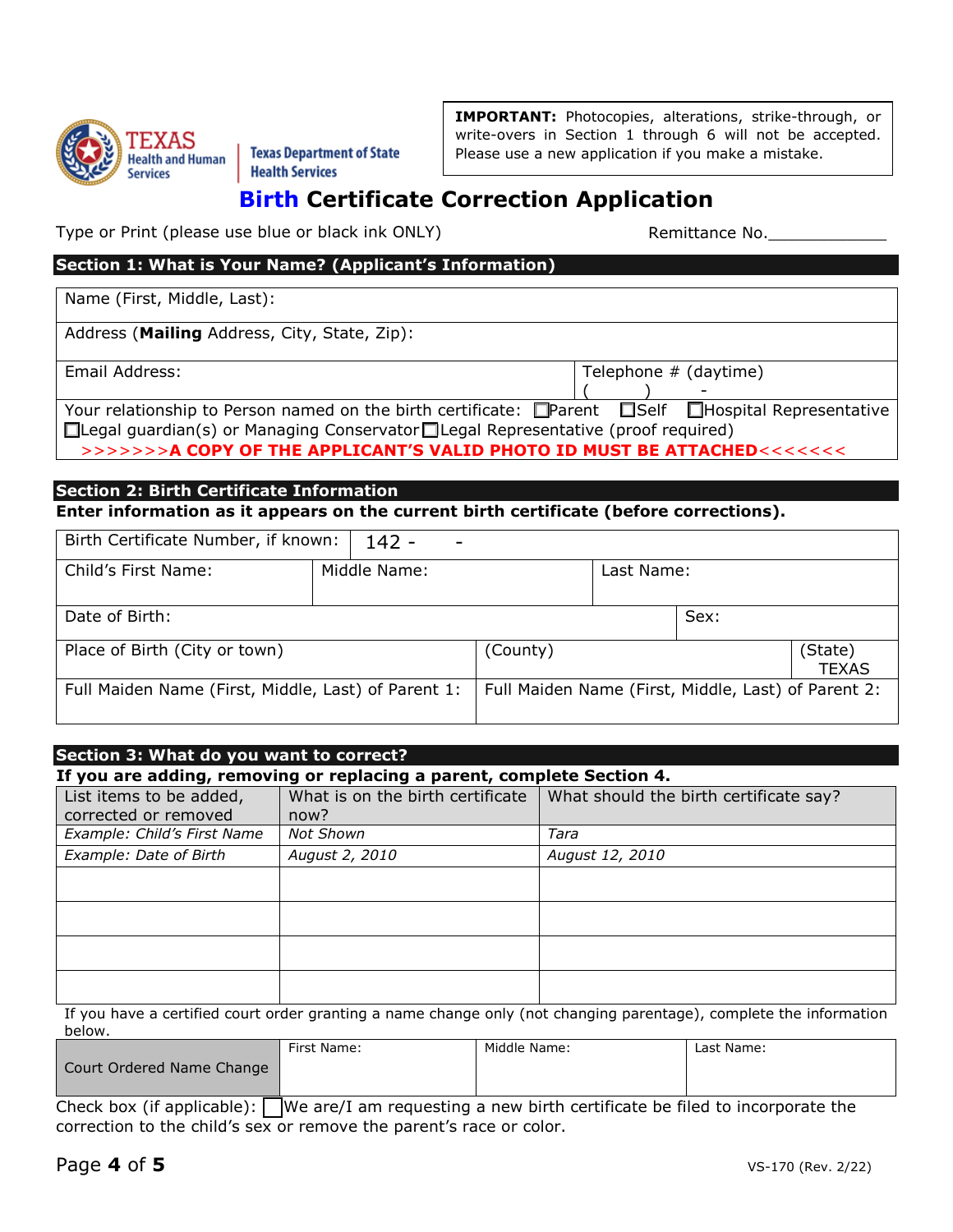

<sup>~</sup>TEXAS ,,\_ ....... .,, Heal!h and Human I **Texas Departm. ent** of **State**  ~ -:; Services **Health Services** 

**IMPORTANT:** Photocopies, alterations, strike-through, or write-overs in Section 1 through 6 will not be accepted. Please use a new application if you make a mistake.

## **Birth Certificate Correction Application**

Type or Print (please use blue or black ink ONLY) Type or Print Remittance No.

## **Section 1: What is Your Name? (Applicant's Information)**

Name (First, Middle, Last):

Address (**Mailing** Address, City, State, Zip):

Email Address: Telephone # (daytime)  $($ 

| Your relationship to Person named on the birth certificate: □Parent □Self □Hospital Representative   |  |  |
|------------------------------------------------------------------------------------------------------|--|--|
| $\Box$ Legal guardian(s) or Managing Conservator $\Box$ Legal Representative (proof required)        |  |  |
| >>>>>>> <b>A COPY OF THE APPLICANT'S VALID PHOTO ID MUST BE ATTACHED&lt;&lt;&lt;&lt;&lt;&lt;&lt;</b> |  |  |

### **Section 2: Birth Certificate Information Enter information as it appears on the current birth certificate (before corrections).**

| Birth Certificate Number, if known:                 |                                                     |            |      |              |  |
|-----------------------------------------------------|-----------------------------------------------------|------------|------|--------------|--|
| Child's First Name:                                 |                                                     | Last Name: |      |              |  |
|                                                     |                                                     |            |      |              |  |
| Date of Birth:                                      |                                                     |            | Sex: |              |  |
| Place of Birth (City or town)                       | (County)<br>(State)                                 |            |      | <b>TEXAS</b> |  |
| Full Maiden Name (First, Middle, Last) of Parent 1: | Full Maiden Name (First, Middle, Last) of Parent 2: |            |      |              |  |

## *Example: Child's First Name* | Not Shown  $\vert$  **Tara** | Tara  $\vert$ **Section 3: What do you want to correct? If you are adding, removing or replacing a parent, complete Section 4.**  List items to be added, corrected or removed What is on the birth certificate now? What should the birth certificate say? *Example: Date of Birth August 2, 2010 August 12, 2010*

If you have a certified court order granting a name change only (not changing parentage), complete the information below.

|                           | First Name: | Middle Name: | Last Name: |
|---------------------------|-------------|--------------|------------|
| Court Ordered Name Change |             |              |            |
| .<br>___                  | __<br>___   | ____         | ___        |

 correction to the child's sex or remove the parent's race or color. Check box (if applicable):  $\Box$  We are/I am requesting a new birth certificate be filed to incorporate the